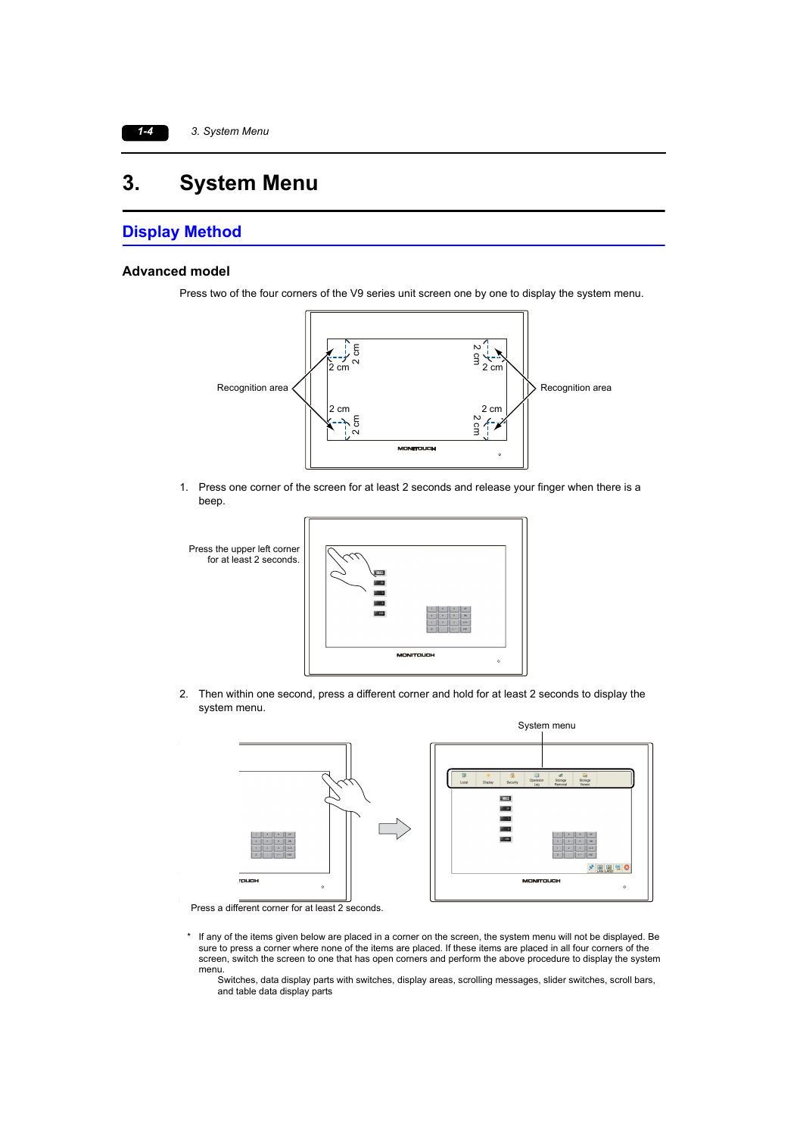# **3. System Menu**

### **Display Method**

#### **Advanced model**

Press two of the four corners of the V9 series unit screen one by one to display the system menu.



1. Press one corner of the screen for at least 2 seconds and release your finger when there is a beep.



2. Then within one second, press a different corner and hold for at least 2 seconds to display the system menu.



Press a different corner for at least 2 seconds.

- \* If any of the items given below are placed in a corner on the screen, the system menu will not be displayed. Be sure to press a corner where none of the items are placed. If these items are placed in all four corners of the screen, switch the screen to one that has open corners and perform the above procedure to display the system menu.
	- Switches, data display parts with switches, display areas, scrolling messages, slider switches, scroll bars, and table data display parts